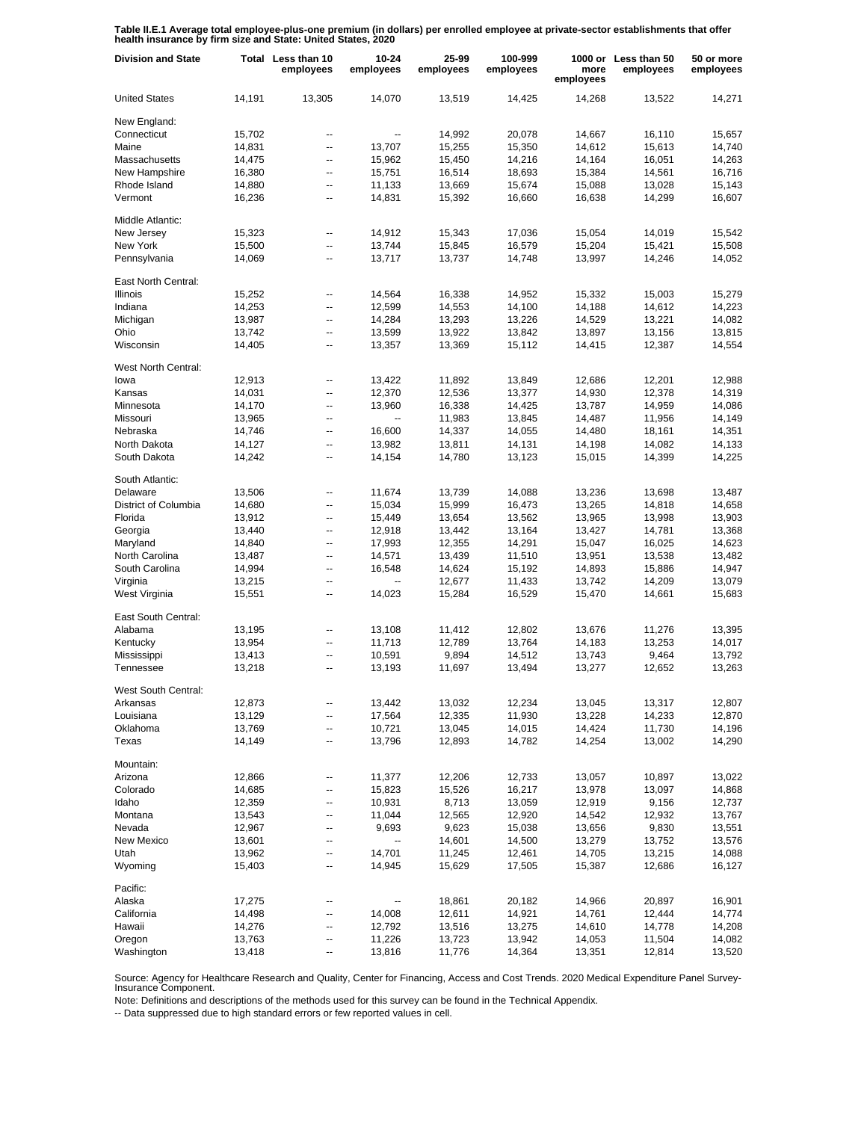**Table II.E.1 Average total employee-plus-one premium (in dollars) per enrolled employee at private-sector establishments that offer health insurance by firm size and State: United States, 2020**

| <b>Division and State</b> |        | Total Less than 10<br>employees | $10 - 24$<br>employees | 25-99<br>employees | 100-999<br>employees | more<br>employees | 1000 or Less than 50<br>employees | 50 or more<br>employees |
|---------------------------|--------|---------------------------------|------------------------|--------------------|----------------------|-------------------|-----------------------------------|-------------------------|
| <b>United States</b>      | 14,191 | 13,305                          | 14,070                 | 13,519             | 14,425               | 14,268            | 13,522                            | 14,271                  |
| New England:              |        |                                 |                        |                    |                      |                   |                                   |                         |
| Connecticut               | 15,702 | --                              | --                     | 14,992             | 20,078               | 14,667            | 16,110                            | 15,657                  |
| Maine                     | 14,831 | --                              | 13,707                 | 15,255             | 15,350               | 14,612            | 15,613                            | 14,740                  |
| Massachusetts             | 14,475 | --                              | 15,962                 | 15,450             | 14,216               | 14,164            | 16,051                            | 14,263                  |
| New Hampshire             | 16,380 | --                              | 15,751                 | 16,514             | 18,693               | 15,384            | 14,561                            | 16,716                  |
| Rhode Island              | 14,880 | --                              | 11,133                 | 13,669             | 15,674               | 15,088            | 13,028                            | 15,143                  |
| Vermont                   | 16,236 | --                              | 14,831                 | 15,392             | 16,660               | 16,638            | 14,299                            | 16,607                  |
| Middle Atlantic:          |        |                                 |                        |                    |                      |                   |                                   |                         |
| New Jersey                | 15,323 | --                              | 14,912                 | 15,343             | 17,036               | 15,054            | 14,019                            | 15,542                  |
| New York                  | 15,500 | --                              | 13,744                 | 15,845             | 16,579               | 15,204            | 15,421                            | 15,508                  |
| Pennsylvania              | 14,069 | --                              | 13,717                 | 13,737             | 14,748               | 13,997            | 14,246                            | 14,052                  |
| East North Central:       |        |                                 |                        |                    |                      |                   |                                   |                         |
| Illinois                  | 15,252 | --                              | 14,564                 | 16,338             | 14,952               | 15,332            | 15,003                            | 15,279                  |
| Indiana                   | 14,253 | --                              | 12,599                 | 14,553             | 14,100               | 14,188            | 14,612                            | 14,223                  |
| Michigan                  | 13,987 | --                              | 14,284                 | 13,293             | 13,226               | 14,529            | 13,221                            | 14,082                  |
| Ohio                      | 13,742 | --                              | 13,599                 | 13,922             | 13,842               | 13,897            | 13,156                            | 13,815                  |
| Wisconsin                 | 14,405 | $\overline{a}$                  | 13,357                 | 13,369             | 15,112               | 14,415            | 12,387                            | 14,554                  |
| West North Central:       |        |                                 |                        |                    |                      |                   |                                   |                         |
| lowa                      |        | --                              |                        |                    |                      |                   |                                   | 12,988                  |
| Kansas                    | 12,913 |                                 | 13,422                 | 11,892             | 13,849               | 12,686            | 12,201                            |                         |
|                           | 14,031 | --                              | 12,370                 | 12,536             | 13,377               | 14,930            | 12,378                            | 14,319                  |
| Minnesota                 | 14,170 | --                              | 13,960                 | 16,338             | 14,425               | 13,787            | 14,959                            | 14,086                  |
| Missouri                  | 13,965 | --                              | --                     | 11,983             | 13,845               | 14,487            | 11,956                            | 14,149                  |
| Nebraska                  | 14,746 | --                              | 16,600                 | 14,337             | 14,055               | 14,480            | 18,161                            | 14,351                  |
| North Dakota              | 14,127 | --                              | 13,982                 | 13,811             | 14,131               | 14,198            | 14,082                            | 14,133                  |
| South Dakota              | 14,242 | --                              | 14,154                 | 14,780             | 13,123               | 15,015            | 14,399                            | 14,225                  |
| South Atlantic:           |        |                                 |                        |                    |                      |                   |                                   |                         |
| Delaware                  | 13,506 | --                              | 11,674                 | 13,739             | 14,088               | 13,236            | 13,698                            | 13,487                  |
| District of Columbia      | 14,680 | --                              | 15,034                 | 15,999             | 16,473               | 13,265            | 14,818                            | 14,658                  |
| Florida                   | 13,912 | ۰.                              | 15,449                 | 13,654             | 13,562               | 13,965            | 13,998                            | 13,903                  |
| Georgia                   | 13,440 | --                              | 12,918                 | 13,442             | 13,164               | 13,427            | 14,781                            | 13,368                  |
| Maryland                  | 14,840 | ۰.                              | 17,993                 | 12,355             | 14,291               | 15,047            | 16,025                            | 14,623                  |
| North Carolina            | 13,487 | --                              | 14,571                 | 13,439             | 11,510               | 13,951            | 13,538                            | 13,482                  |
| South Carolina            | 14,994 | ۰.                              | 16,548                 | 14,624             | 15,192               | 14,893            | 15,886                            | 14,947                  |
| Virginia                  | 13,215 | --                              |                        | 12,677             | 11,433               | 13,742            | 14,209                            | 13,079                  |
| West Virginia             | 15,551 | --                              | 14,023                 | 15,284             | 16,529               | 15,470            | 14,661                            | 15,683                  |
| East South Central:       |        |                                 |                        |                    |                      |                   |                                   |                         |
| Alabama                   | 13,195 | --                              | 13,108                 | 11,412             | 12,802               | 13,676            | 11,276                            | 13,395                  |
| Kentucky                  | 13,954 | --                              | 11,713                 | 12,789             | 13,764               | 14,183            | 13,253                            | 14,017                  |
| Mississippi               | 13,413 | --                              | 10,591                 | 9,894              | 14,512               | 13,743            | 9,464                             | 13,792                  |
| Tennessee                 | 13,218 | $\overline{a}$                  | 13,193                 | 11,697             | 13,494               | 13,277            | 12,652                            | 13,263                  |
| West South Central:       |        |                                 |                        |                    |                      |                   |                                   |                         |
| Arkansas                  | 12,873 |                                 | 13,442                 | 13,032             | 12,234               | 13,045            | 13,317                            | 12,807                  |
| Louisiana                 | 13,129 |                                 | 17,564                 | 12,335             | 11,930               | 13,228            | 14,233                            | 12,870                  |
| Oklahoma                  | 13,769 | --                              | 10,721                 | 13,045             | 14,015               | 14,424            | 11,730                            | 14,196                  |
| Texas                     | 14,149 | ۰.                              | 13,796                 | 12,893             | 14,782               | 14,254            | 13,002                            | 14,290                  |
| Mountain:                 |        |                                 |                        |                    |                      |                   |                                   |                         |
| Arizona                   | 12,866 |                                 | 11,377                 | 12,206             | 12,733               | 13,057            | 10,897                            | 13,022                  |
| Colorado                  | 14,685 | --                              | 15,823                 | 15,526             | 16,217               | 13,978            | 13,097                            | 14,868                  |
| Idaho                     | 12,359 | --                              | 10,931                 | 8,713              | 13,059               | 12,919            | 9,156                             | 12,737                  |
| Montana                   | 13,543 | -−                              | 11,044                 | 12,565             | 12,920               | 14,542            | 12,932                            | 13,767                  |
| Nevada                    | 12,967 | --                              | 9,693                  | 9,623              | 15,038               | 13,656            | 9,830                             | 13,551                  |
| New Mexico                | 13,601 | --                              |                        | 14,601             | 14,500               | 13,279            | 13,752                            | 13,576                  |
| Utah                      | 13,962 | --                              | 14,701                 | 11,245             | 12,461               | 14,705            | 13,215                            | 14,088                  |
| Wyoming                   | 15,403 | --                              | 14,945                 | 15,629             | 17,505               | 15,387            | 12,686                            | 16,127                  |
| Pacific:                  |        |                                 |                        |                    |                      |                   |                                   |                         |
| Alaska                    | 17,275 | --                              |                        | 18,861             | 20,182               | 14,966            | 20,897                            | 16,901                  |
| California                | 14,498 | --                              | 14,008                 | 12,611             | 14,921               | 14,761            | 12,444                            | 14,774                  |
| Hawaii                    | 14,276 | --                              | 12,792                 | 13,516             | 13,275               | 14,610            | 14,778                            | 14,208                  |
| Oregon                    | 13,763 | -−                              | 11,226                 | 13,723             | 13,942               | 14,053            | 11,504                            | 14,082                  |
| Washington                | 13,418 | ۰.                              | 13,816                 | 11,776             | 14,364               | 13,351            | 12,814                            | 13,520                  |

Source: Agency for Healthcare Research and Quality, Center for Financing, Access and Cost Trends. 2020 Medical Expenditure Panel Survey-Insurance Component.

Note: Definitions and descriptions of the methods used for this survey can be found in the Technical Appendix.

-- Data suppressed due to high standard errors or few reported values in cell.